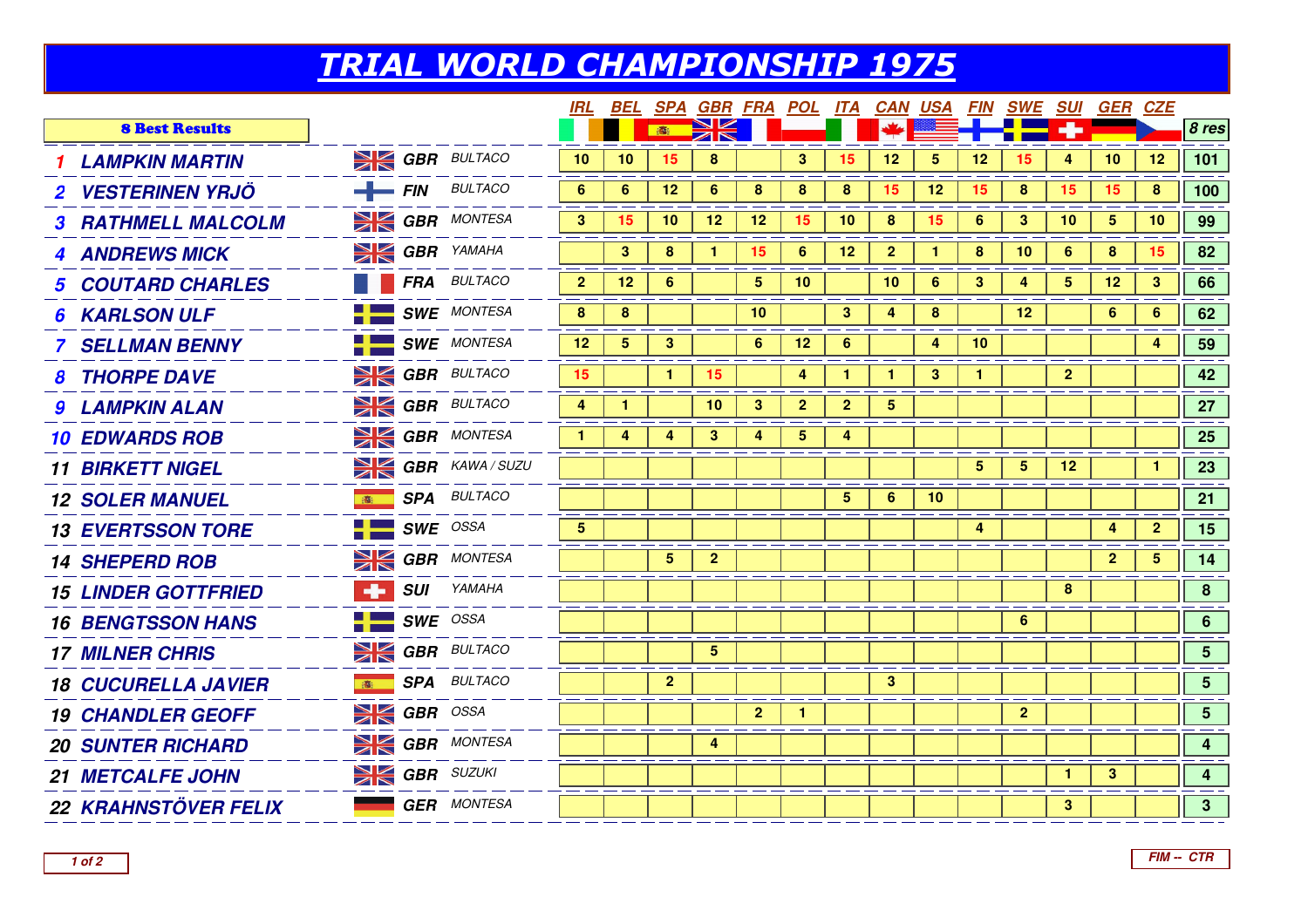## TRIAL WORLD CHAMPIONSHIP 1975

|   |  |                                                                                                                                                                                                                                                                                                                                                                                                                                                                                                                 |    |                      |                |                |                  |                |                         |                 |                 |                |                 |                 |                | 8 res                                                          |
|---|--|-----------------------------------------------------------------------------------------------------------------------------------------------------------------------------------------------------------------------------------------------------------------------------------------------------------------------------------------------------------------------------------------------------------------------------------------------------------------------------------------------------------------|----|----------------------|----------------|----------------|------------------|----------------|-------------------------|-----------------|-----------------|----------------|-----------------|-----------------|----------------|----------------------------------------------------------------|
|   |  | 10                                                                                                                                                                                                                                                                                                                                                                                                                                                                                                              | 10 | 15                   | 8              |                | 3                | 15             | 12                      | $5\overline{)}$ | 12 <sub>2</sub> | 15             | 4               | 10 <sup>°</sup> | 12             | 101                                                            |
|   |  | 6 <sup>1</sup>                                                                                                                                                                                                                                                                                                                                                                                                                                                                                                  | 6  | 12                   | $6\phantom{1}$ | 8              | 8                | 8              | 15                      | 12              | 15 <sub>1</sub> | 8              | 15              | 15              | 8              | 100                                                            |
|   |  | 3 <sup>2</sup>                                                                                                                                                                                                                                                                                                                                                                                                                                                                                                  | 15 | 10                   | 12             | 12             | 15 <sub>15</sub> | 10             | 8                       | 15              | 6               | 3              | 10              | 5               | 10             | 99                                                             |
|   |  |                                                                                                                                                                                                                                                                                                                                                                                                                                                                                                                 | 3  | 8                    | $\mathbf{1}$   | 15             | 6                | 12             | $\mathbf{2}$            | 1               | 8               | 10             | 6               | 8               | 15             | 82                                                             |
|   |  | 2 <sup>2</sup>                                                                                                                                                                                                                                                                                                                                                                                                                                                                                                  | 12 | 6                    |                | 5 <sub>5</sub> | 10               |                | 10                      | 6               | $\mathbf{3}$    | 4              | $5\overline{5}$ | 12              | 3 <sup>1</sup> | 66                                                             |
|   |  | 8                                                                                                                                                                                                                                                                                                                                                                                                                                                                                                               | 8  |                      |                | 10             |                  | $\mathbf{3}$   | 4                       | 8               |                 | 12             |                 | 6               | 6              | 62                                                             |
|   |  | 12                                                                                                                                                                                                                                                                                                                                                                                                                                                                                                              | 5  | 3                    |                | 6              | 12 <sub>2</sub>  | 6              |                         | 4               | 10 <sup>°</sup> |                |                 |                 | 4              | 59                                                             |
|   |  | 15 <sub>15</sub>                                                                                                                                                                                                                                                                                                                                                                                                                                                                                                |    | $\blacktriangleleft$ | 15             |                | 4                | 1              | 1                       | 3 <sup>2</sup>  |                 |                | $\overline{2}$  |                 |                | 42                                                             |
|   |  | 4                                                                                                                                                                                                                                                                                                                                                                                                                                                                                                               |    |                      | 10             | $\mathbf{3}$   | $\mathbf{2}$     | $\mathbf{2}$   | $\overline{\mathbf{5}}$ |                 |                 |                |                 |                 |                | 27                                                             |
|   |  | 1                                                                                                                                                                                                                                                                                                                                                                                                                                                                                                               |    | 4                    | 3              | 4              | 5                |                |                         |                 |                 |                |                 |                 |                | 25                                                             |
|   |  |                                                                                                                                                                                                                                                                                                                                                                                                                                                                                                                 |    |                      |                |                |                  |                |                         |                 | $5^{\circ}$     | 5.             | 12              |                 | $\mathbf{1}$   | 23                                                             |
| 高 |  |                                                                                                                                                                                                                                                                                                                                                                                                                                                                                                                 |    |                      |                |                |                  | $\overline{5}$ | 6                       | 10              |                 |                |                 |                 |                | 21                                                             |
|   |  | 5                                                                                                                                                                                                                                                                                                                                                                                                                                                                                                               |    |                      |                |                |                  |                |                         |                 | $\overline{4}$  |                |                 | 4               | 2 <sup>1</sup> | 15                                                             |
|   |  |                                                                                                                                                                                                                                                                                                                                                                                                                                                                                                                 |    | $5\phantom{.0}$      | $\overline{2}$ |                |                  |                |                         |                 |                 |                |                 | $\mathbf{2}$    | 5              | 14                                                             |
|   |  |                                                                                                                                                                                                                                                                                                                                                                                                                                                                                                                 |    |                      |                |                |                  |                |                         |                 |                 |                | 8               |                 |                | 8                                                              |
|   |  |                                                                                                                                                                                                                                                                                                                                                                                                                                                                                                                 |    |                      |                |                |                  |                |                         |                 |                 | 6              |                 |                 |                | $6\overline{6}$                                                |
|   |  |                                                                                                                                                                                                                                                                                                                                                                                                                                                                                                                 |    |                      | 5              |                |                  |                |                         |                 |                 |                |                 |                 |                | 5 <sub>5</sub>                                                 |
|   |  |                                                                                                                                                                                                                                                                                                                                                                                                                                                                                                                 |    | $\mathbf{2}$         |                |                |                  |                | 3                       |                 |                 |                |                 |                 |                | 5 <sup>5</sup>                                                 |
|   |  |                                                                                                                                                                                                                                                                                                                                                                                                                                                                                                                 |    |                      |                | 2 <sup>1</sup> | 1.               |                |                         |                 |                 | $\overline{2}$ |                 |                 |                | 5 <sup>5</sup>                                                 |
|   |  |                                                                                                                                                                                                                                                                                                                                                                                                                                                                                                                 |    |                      | 4              |                |                  |                |                         |                 |                 |                |                 |                 |                | $\overline{4}$                                                 |
|   |  |                                                                                                                                                                                                                                                                                                                                                                                                                                                                                                                 |    |                      |                |                |                  |                |                         |                 |                 |                | $\mathbf{1}$    | 3 <sup>1</sup>  |                | $\overline{\mathbf{4}}$                                        |
|   |  |                                                                                                                                                                                                                                                                                                                                                                                                                                                                                                                 |    |                      |                |                |                  |                |                         |                 |                 |                | 3               |                 |                | 3 <sup>7</sup>                                                 |
|   |  | <b>SIM GBR</b> BULTACO<br>$FIN$ BULTACO<br><b>SK GBR</b> MONTESA<br><b>SI GBR</b> YAMAHA<br><b>FRA</b> BULTACO<br><b>SWE</b> MONTESA<br><b>SWE</b> MONTESA<br><b>SIM GBR</b> BULTACO<br><b>SI GBR</b> BULTACO<br><b>SI GBR</b> MONTESA<br><b>SI GBR</b> KAWA / SUZU<br><b>SPA</b> BULTACO<br>$SWE$ OSSA<br><b>SI GBR</b> MONTESA<br><b>ED SUI</b> YAMAHA<br>$SWE$ OSSA<br><b>SK GBR</b> BULTACO<br><b>SPA</b> BULTACO<br>$\sum$ GBR OSSA<br><b>SK GBR</b> MONTESA<br><b>SK GBR</b> SUZUKI<br><b>GER MONTESA</b> |    |                      | 。              |                | $\geq$ K         |                |                         |                 |                 |                |                 |                 |                | <u>IRL BEL SPA GBR FRA POL ITA CAN USA FIN SWE SUI GER CZE</u> |